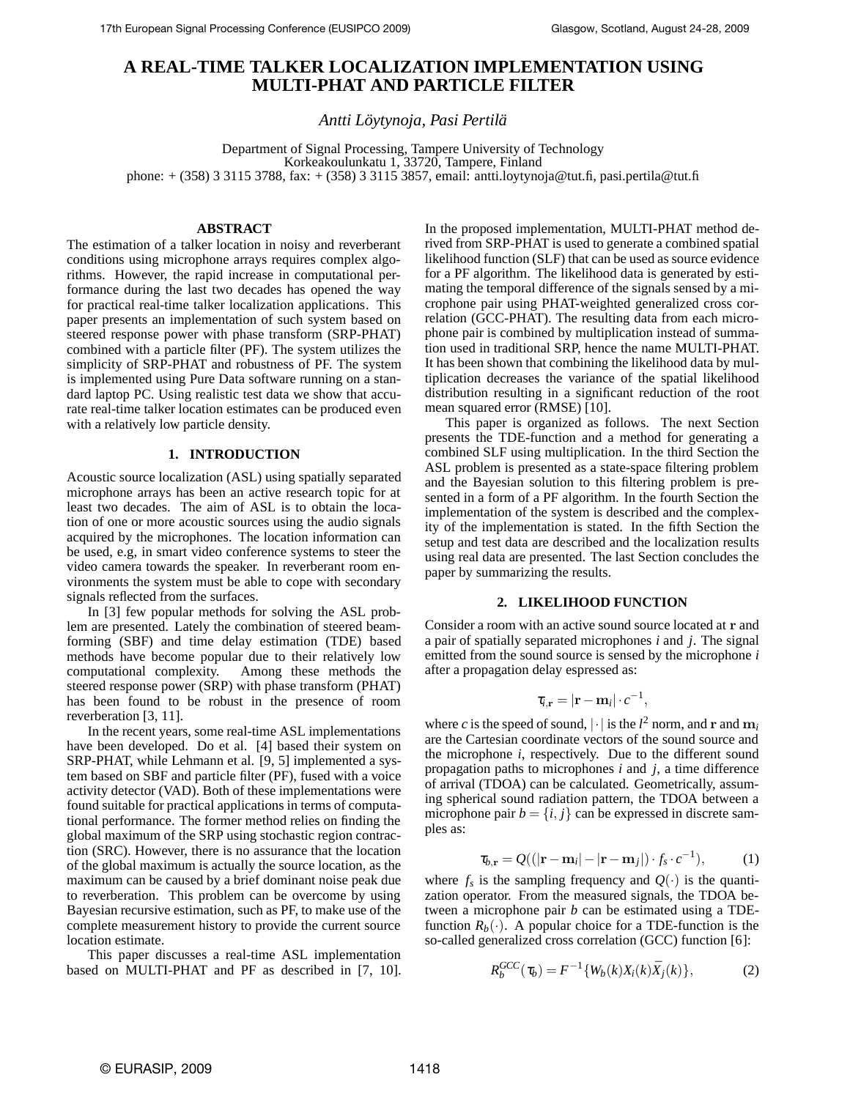# **A REAL-TIME TALKER LOCALIZATION IMPLEMENTATION USING MULTI-PHAT AND PARTICLE FILTER**

# *Antti Loytynoja, Pasi Pertil ¨ a¨*

Department of Signal Processing, Tampere University of Technology Korkeakoulunkatu 1, 33720, Tampere, Finland phone: + (358) 3 3115 3788, fax: + (358) 3 3115 3857, email: antti.loytynoja@tut.fi, pasi.pertila@tut.fi

## **ABSTRACT**

The estimation of a talker location in noisy and reverberant conditions using microphone arrays requires complex algorithms. However, the rapid increase in computational performance during the last two decades has opened the way for practical real-time talker localization applications. This paper presents an implementation of such system based on steered response power with phase transform (SRP-PHAT) combined with a particle filter (PF). The system utilizes the simplicity of SRP-PHAT and robustness of PF. The system is implemented using Pure Data software running on a standard laptop PC. Using realistic test data we show that accurate real-time talker location estimates can be produced even with a relatively low particle density.

#### **1. INTRODUCTION**

Acoustic source localization (ASL) using spatially separated microphone arrays has been an active research topic for at least two decades. The aim of ASL is to obtain the location of one or more acoustic sources using the audio signals acquired by the microphones. The location information can be used, e.g, in smart video conference systems to steer the video camera towards the speaker. In reverberant room environments the system must be able to cope with secondary signals reflected from the surfaces.

In [3] few popular methods for solving the ASL problem are presented. Lately the combination of steered beamforming (SBF) and time delay estimation (TDE) based methods have become popular due to their relatively low computational complexity. Among these methods the steered response power (SRP) with phase transform (PHAT) has been found to be robust in the presence of room reverberation [3, 11].

In the recent years, some real-time ASL implementations have been developed. Do et al. [4] based their system on SRP-PHAT, while Lehmann et al. [9, 5] implemented a system based on SBF and particle filter (PF), fused with a voice activity detector (VAD). Both of these implementations were found suitable for practical applications in terms of computational performance. The former method relies on finding the global maximum of the SRP using stochastic region contraction (SRC). However, there is no assurance that the location of the global maximum is actually the source location, as the maximum can be caused by a brief dominant noise peak due to reverberation. This problem can be overcome by using Bayesian recursive estimation, such as PF, to make use of the complete measurement history to provide the current source location estimate.

This paper discusses a real-time ASL implementation based on MULTI-PHAT and PF as described in [7, 10]. In the proposed implementation, MULTI-PHAT method derived from SRP-PHAT is used to generate a combined spatial likelihood function (SLF) that can be used as source evidence for a PF algorithm. The likelihood data is generated by estimating the temporal difference of the signals sensed by a microphone pair using PHAT-weighted generalized cross correlation (GCC-PHAT). The resulting data from each microphone pair is combined by multiplication instead of summation used in traditional SRP, hence the name MULTI-PHAT. It has been shown that combining the likelihood data by multiplication decreases the variance of the spatial likelihood distribution resulting in a significant reduction of the root mean squared error (RMSE) [10].

This paper is organized as follows. The next Section presents the TDE-function and a method for generating a combined SLF using multiplication. In the third Section the ASL problem is presented as a state-space filtering problem and the Bayesian solution to this filtering problem is presented in a form of a PF algorithm. In the fourth Section the implementation of the system is described and the complexity of the implementation is stated. In the fifth Section the setup and test data are described and the localization results using real data are presented. The last Section concludes the paper by summarizing the results.

# **2. LIKELIHOOD FUNCTION**

Consider a room with an active sound source located at r and a pair of spatially separated microphones *i* and *j*. The signal emitted from the sound source is sensed by the microphone *i* after a propagation delay espressed as:

$$
\tau_{i,\mathbf{r}}=|\mathbf{r}-\mathbf{m}_i|\cdot c^{-1},
$$

where *c* is the speed of sound,  $|\cdot|$  is the *l*<sup>2</sup> norm, and **r** and  $\mathbf{m}_i$ are the Cartesian coordinate vectors of the sound source and the microphone *i*, respectively. Due to the different sound propagation paths to microphones *i* and *j*, a time difference of arrival (TDOA) can be calculated. Geometrically, assuming spherical sound radiation pattern, the TDOA between a microphone pair  $b = \{i, j\}$  can be expressed in discrete samples as:

$$
\tau_{b,\mathbf{r}} = \mathcal{Q}((|\mathbf{r} - \mathbf{m}_i| - |\mathbf{r} - \mathbf{m}_j|) \cdot f_s \cdot c^{-1}), \tag{1}
$$

where  $f_s$  is the sampling frequency and  $Q(\cdot)$  is the quantization operator. From the measured signals, the TDOA between a microphone pair *b* can be estimated using a TDEfunction  $R_b(\cdot)$ . A popular choice for a TDE-function is the so-called generalized cross correlation (GCC) function [6]:

$$
R_b^{GCC}(\tau_b) = F^{-1}\{W_b(k)X_i(k)\bar{X}_j(k)\},
$$
 (2)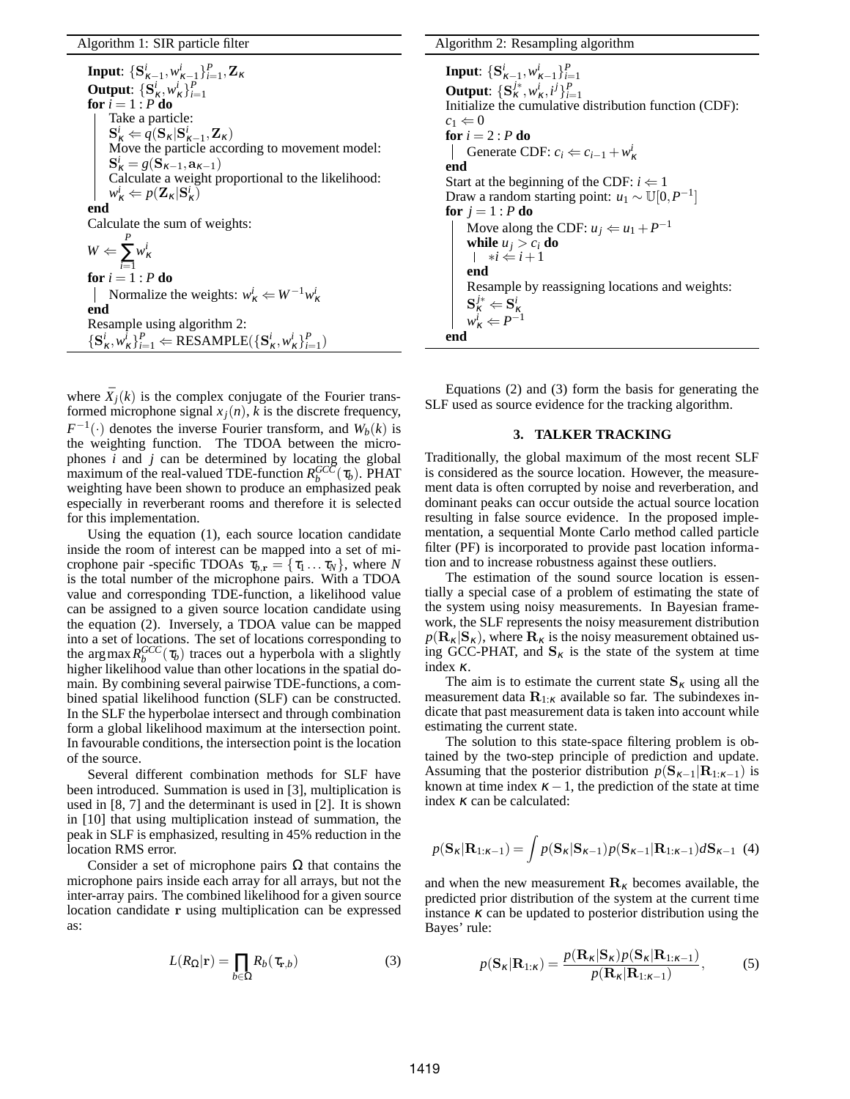**Input**:  $\{S_{\kappa-1}^i, w_{\kappa-1}^i\}_{i=1}^P, \mathbf{Z}_{\kappa}$ **Output**:  $\{\mathbf{S}_\kappa^i, w_\kappa^i\}_{i=1}^P$ **for**  $i = 1$  **:**  $P$  **do** Take a particle:  $\mathbf{S}_{\kappa}^i \Leftarrow q(\mathbf{S}_{\kappa}|\mathbf{S}_{\kappa-1}^i,\mathbf{Z}_{\kappa})$ Move the particle according to movement model:  $S_{\kappa}^i = g(S_{\kappa-1}, a_{\kappa-1})$ Calculate a weight proportional to the likelihood:  $w_{\kappa}^i \Leftarrow p(\mathbf{Z}_{\kappa}|\mathbf{S}_{\kappa}^i)$ **end** Calculate the sum of weights:  $W \Leftarrow$ *P* ∑ *i*=1 *w i* κ **for**  $i = 1$  :  $P$  **do** Normalize the weights:  $w^i_k \leftarrow W^{-1} w^i_k$ **end** Resample using algorithm 2:  $\{S_k^i, w_k^i\}_{i=1}^P \leftarrow$  **RESAMPLE** $(\{S_k^i, w_k^i\}_{i=1}^P)$ 

where  $\bar{X}_j(k)$  is the complex conjugate of the Fourier transformed microphone signal  $x_j(n)$ ,  $k$  is the discrete frequency,  $F^{-1}(\cdot)$  denotes the inverse Fourier transform, and  $W_b(k)$  is the weighting function. The TDOA between the microphones *i* and *j* can be determined by locating the global maximum of the real-valued TDE-function  $R_b^{GCC}(\tau_b)$ . PHAT weighting have been shown to produce an emphasized peak especially in reverberant rooms and therefore it is selected for this implementation.

Using the equation (1), each source location candidate inside the room of interest can be mapped into a set of microphone pair -specific TDOAs  $\tau_{b,r} = {\tau_1 ... \tau_N}$ , where *N* is the total number of the microphone pairs. With a TDOA value and corresponding TDE-function, a likelihood value can be assigned to a given source location candidate using the equation (2). Inversely, a TDOA value can be mapped into a set of locations. The set of locations corresponding to the argmax  $R_b^{GCC}(\tau_b)$  traces out a hyperbola with a slightly higher likelihood value than other locations in the spatial domain. By combining several pairwise TDE-functions, a combined spatial likelihood function (SLF) can be constructed. In the SLF the hyperbolae intersect and through combination form a global likelihood maximum at the intersection point. In favourable conditions, the intersection point is the location of the source.

Several different combination methods for SLF have been introduced. Summation is used in [3], multiplication is used in [8, 7] and the determinant is used in [2]. It is shown in [10] that using multiplication instead of summation, the peak in SLF is emphasized, resulting in 45% reduction in the location RMS error.

Consider a set of microphone pairs  $\Omega$  that contains the microphone pairs inside each array for all arrays, but not the inter-array pairs. The combined likelihood for a given source location candidate r using multiplication can be expressed as:

$$
L(R_{\Omega}|\mathbf{r}) = \prod_{b \in \Omega} R_b(\tau_{\mathbf{r},b})
$$
 (3)

Algorithm 2: Resampling algorithm

**Input**:  $\{S_{\kappa-1}^i, w_{\kappa-1}^i\}_{i=1}^P$ **Output**:  $\{S^{j*}_{\kappa}, w^{i}_{\kappa}, i^{j}\}_{i=1}^{P}$ Initialize the cumulative distribution function (CDF):  $c_1 \Leftarrow 0$ **for**  $i = 2 : P$  **do** Generate CDF:  $c_i \Leftarrow c_{i-1} + w_{\kappa}^i$ **end** Start at the beginning of the CDF:  $i \leftarrow 1$ Draw a random starting point:  $u_1 \sim \mathbb{U}[0, P^{-1}]$ **for**  $j = 1$  : *P* **do** Move along the CDF:  $u_j \Leftarrow u_1 + P^{-1}$ **while**  $u_j > c_i$  **do**  $$ **end** Resample by reassigning locations and weights:  $S_{\kappa}^{j*} \Leftarrow S_{\kappa}^{i}$ <br>  $w_{\kappa}^{i} \Leftarrow P^{-1}$ **end**

Equations (2) and (3) form the basis for generating the SLF used as source evidence for the tracking algorithm.

## **3. TALKER TRACKING**

Traditionally, the global maximum of the most recent SLF is considered as the source location. However, the measurement data is often corrupted by noise and reverberation, and dominant peaks can occur outside the actual source location resulting in false source evidence. In the proposed implementation, a sequential Monte Carlo method called particle filter (PF) is incorporated to provide past location information and to increase robustness against these outliers.

The estimation of the sound source location is essentially a special case of a problem of estimating the state of the system using noisy measurements. In Bayesian framework, the SLF represents the noisy measurement distribution  $p(\mathbf{R}_{\kappa}|\mathbf{S}_{\kappa})$ , where  $\mathbf{R}_{\kappa}$  is the noisy measurement obtained using GCC-PHAT, and  $S_k$  is the state of the system at time index <sup>κ</sup>.

The aim is to estimate the current state  $S_k$  using all the measurement data  $\mathbf{R}_{1:\kappa}$  available so far. The subindexes indicate that past measurement data is taken into account while estimating the current state.

The solution to this state-space filtering problem is obtained by the two-step principle of prediction and update. Assuming that the posterior distribution  $p(\mathbf{S}_{\kappa-1}|\mathbf{R}_{1:\kappa-1})$  is known at time index  $\kappa - 1$ , the prediction of the state at time index  $\kappa$  can be calculated:

$$
p(\mathbf{S}_{\kappa}|\mathbf{R}_{1:\kappa-1}) = \int p(\mathbf{S}_{\kappa}|\mathbf{S}_{\kappa-1}) p(\mathbf{S}_{\kappa-1}|\mathbf{R}_{1:\kappa-1}) d\mathbf{S}_{\kappa-1} \tag{4}
$$

and when the new measurement  $\mathbf{R}_{\kappa}$  becomes available, the predicted prior distribution of the system at the current time instance  $\kappa$  can be updated to posterior distribution using the Bayes' rule:

$$
p(\mathbf{S}_{\kappa}|\mathbf{R}_{1:\kappa}) = \frac{p(\mathbf{R}_{\kappa}|\mathbf{S}_{\kappa})p(\mathbf{S}_{\kappa}|\mathbf{R}_{1:\kappa-1})}{p(\mathbf{R}_{\kappa}|\mathbf{R}_{1:\kappa-1})},
$$
(5)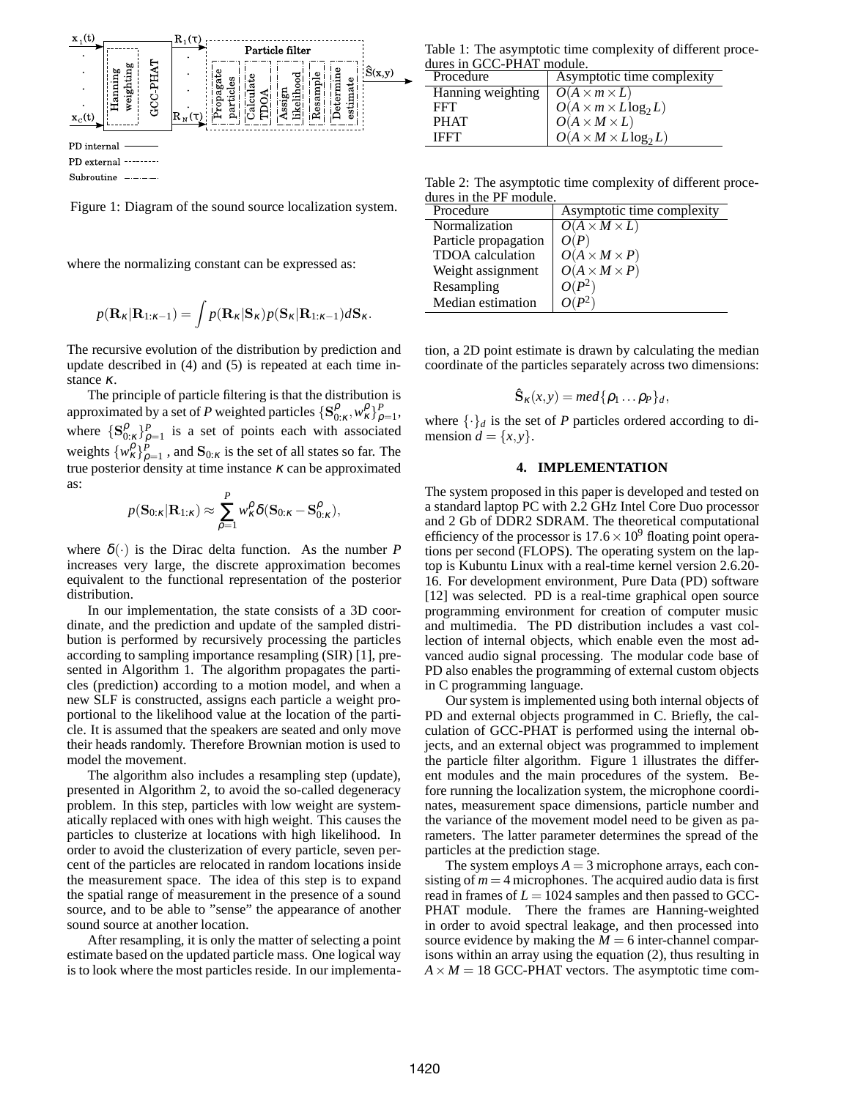

Figure 1: Diagram of the sound source localization system.

where the normalizing constant can be expressed as:

$$
p(\mathbf{R}_{\kappa}|\mathbf{R}_{1:\kappa-1}) = \int p(\mathbf{R}_{\kappa}|\mathbf{S}_{\kappa})p(\mathbf{S}_{\kappa}|\mathbf{R}_{1:\kappa-1})d\mathbf{S}_{\kappa}.
$$

The recursive evolution of the distribution by prediction and update described in (4) and (5) is repeated at each time instance <sup>κ</sup>.

The principle of particle filtering is that the distribution is approximated by a set of *P* weighted particles  $\{S_{0:\kappa}^{\rho}, w_{\kappa}^{\rho}\}_{\rho=1}^{P}$ , where  $\{S_{0:k}^{\rho}\}_{\rho=1}^P$  is a set of points each with associated weights  $\{w_{\kappa}^{\rho}\}_{\rho=1}^P$ , and  $\mathbf{S}_{0:\kappa}$  is the set of all states so far. The true posterior density at time instance  $\kappa$  can be approximated as:

$$
p(\mathbf{S}_{0:\kappa}|\mathbf{R}_{1:\kappa}) \approx \sum_{\rho=1}^{P} w_{\kappa}^{\rho} \delta(\mathbf{S}_{0:\kappa} - \mathbf{S}_{0:\kappa}^{\rho}),
$$

where  $\delta(\cdot)$  is the Dirac delta function. As the number *P* increases very large, the discrete approximation becomes equivalent to the functional representation of the posterior distribution.

In our implementation, the state consists of a 3D coordinate, and the prediction and update of the sampled distribution is performed by recursively processing the particles according to sampling importance resampling (SIR) [1], presented in Algorithm 1. The algorithm propagates the particles (prediction) according to a motion model, and when a new SLF is constructed, assigns each particle a weight proportional to the likelihood value at the location of the particle. It is assumed that the speakers are seated and only move their heads randomly. Therefore Brownian motion is used to model the movement.

The algorithm also includes a resampling step (update), presented in Algorithm 2, to avoid the so-called degeneracy problem. In this step, particles with low weight are systematically replaced with ones with high weight. This causes the particles to clusterize at locations with high likelihood. In order to avoid the clusterization of every particle, seven percent of the particles are relocated in random locations inside the measurement space. The idea of this step is to expand the spatial range of measurement in the presence of a sound source, and to be able to "sense" the appearance of another sound source at another location.

After resampling, it is only the matter of selecting a point estimate based on the updated particle mass. One logical way is to look where the most particles reside. In our implementa-

Table 1: The asymptotic time complexity of different procedures in GCC-PHAT module.

| Procedure         | Asymptotic time complexity          |
|-------------------|-------------------------------------|
| Hanning weighting | $\overline{O}(A \times m \times L)$ |
| <b>FFT</b>        | $O(A \times m \times L \log_2 L)$   |
| <b>PHAT</b>       | $O(A \times M \times L)$            |
| <b>IFFT</b>       | $O(A \times M \times L \log_2 L)$   |
|                   |                                     |

Table 2: The asymptotic time complexity of different procedures in the PF module.

| Procedure               | Asymptotic time complexity |
|-------------------------|----------------------------|
| Normalization           | $O(A \times M \times L)$   |
| Particle propagation    |                            |
| <b>TDOA</b> calculation | $O(A \times M \times P)$   |
| Weight assignment       | $O(A \times M \times P)$   |
| Resampling              | $O(P^2)$                   |
| Median estimation       |                            |

tion, a 2D point estimate is drawn by calculating the median coordinate of the particles separately across two dimensions:

$$
\hat{\mathbf{S}}_{\kappa}(x,y) = med\{\rho_1...\rho_P\}_d,
$$

where  $\{\cdot\}_d$  is the set of *P* particles ordered according to dimension  $d = \{x, y\}.$ 

#### **4. IMPLEMENTATION**

The system proposed in this paper is developed and tested on a standard laptop PC with 2.2 GHz Intel Core Duo processor and 2 Gb of DDR2 SDRAM. The theoretical computational efficiency of the processor is  $17.6 \times 10^9$  floating point operations per second (FLOPS). The operating system on the laptop is Kubuntu Linux with a real-time kernel version 2.6.20- 16. For development environment, Pure Data (PD) software [12] was selected. PD is a real-time graphical open source programming environment for creation of computer music and multimedia. The PD distribution includes a vast collection of internal objects, which enable even the most advanced audio signal processing. The modular code base of PD also enables the programming of external custom objects in C programming language.

Our system is implemented using both internal objects of PD and external objects programmed in C. Briefly, the calculation of GCC-PHAT is performed using the internal objects, and an external object was programmed to implement the particle filter algorithm. Figure 1 illustrates the different modules and the main procedures of the system. Before running the localization system, the microphone coordinates, measurement space dimensions, particle number and the variance of the movement model need to be given as parameters. The latter parameter determines the spread of the particles at the prediction stage.

The system employs  $A = 3$  microphone arrays, each consisting of  $m = 4$  microphones. The acquired audio data is first read in frames of  $L = 1024$  samples and then passed to GCC-PHAT module. There the frames are Hanning-weighted in order to avoid spectral leakage, and then processed into source evidence by making the  $M = 6$  inter-channel comparisons within an array using the equation (2), thus resulting in  $A \times M = 18$  GCC-PHAT vectors. The asymptotic time com-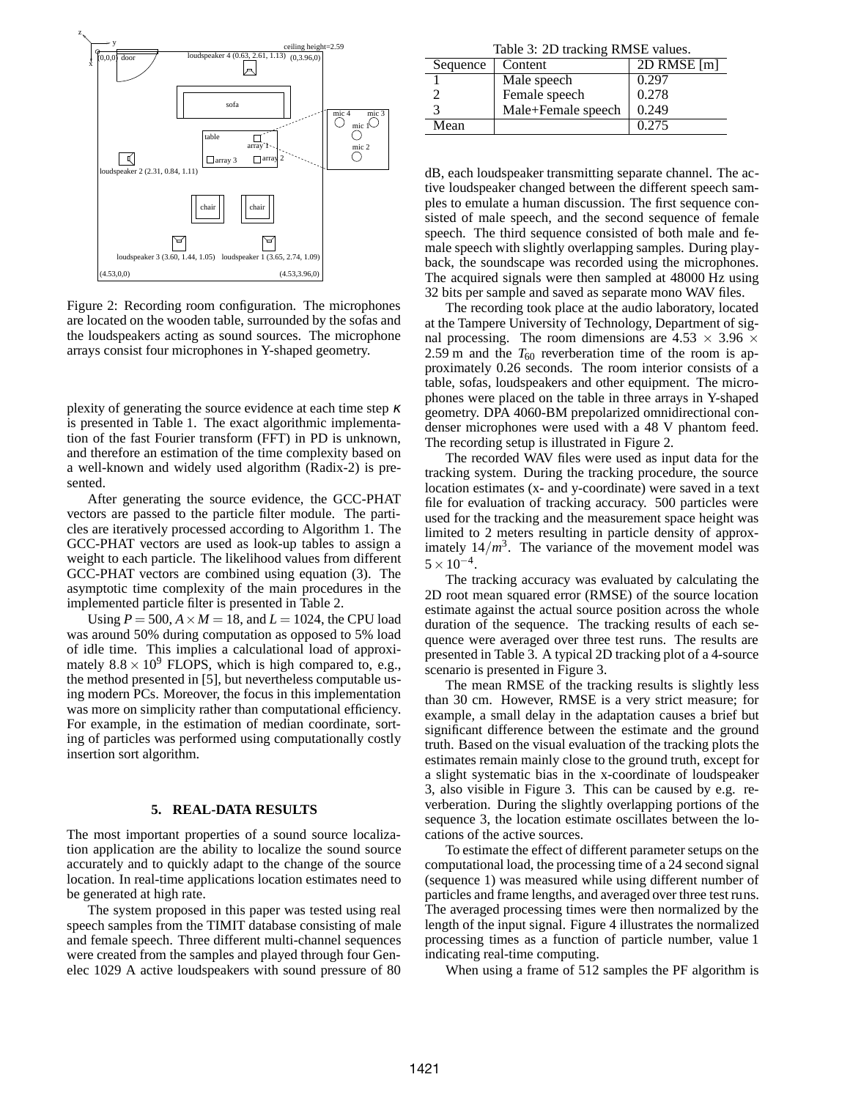

Figure 2: Recording room configuration. The microphones are located on the wooden table, surrounded by the sofas and the loudspeakers acting as sound sources. The microphone arrays consist four microphones in Y-shaped geometry.

plexity of generating the source evidence at each time step  $\kappa$ is presented in Table 1. The exact algorithmic implementation of the fast Fourier transform (FFT) in PD is unknown, and therefore an estimation of the time complexity based on a well-known and widely used algorithm (Radix-2) is presented.

After generating the source evidence, the GCC-PHAT vectors are passed to the particle filter module. The particles are iteratively processed according to Algorithm 1. The GCC-PHAT vectors are used as look-up tables to assign a weight to each particle. The likelihood values from different GCC-PHAT vectors are combined using equation (3). The asymptotic time complexity of the main procedures in the implemented particle filter is presented in Table 2.

Using  $P = 500$ ,  $A \times M = 18$ , and  $L = 1024$ , the CPU load was around 50% during computation as opposed to 5% load of idle time. This implies a calculational load of approximately  $8.8 \times 10^9$  FLOPS, which is high compared to, e.g., the method presented in [5], but nevertheless computable using modern PCs. Moreover, the focus in this implementation was more on simplicity rather than computational efficiency. For example, in the estimation of median coordinate, sorting of particles was performed using computationally costly insertion sort algorithm.

#### **5. REAL-DATA RESULTS**

The most important properties of a sound source localization application are the ability to localize the sound source accurately and to quickly adapt to the change of the source location. In real-time applications location estimates need to be generated at high rate.

The system proposed in this paper was tested using real speech samples from the TIMIT database consisting of male and female speech. Three different multi-channel sequences were created from the samples and played through four Genelec 1029 A active loudspeakers with sound pressure of 80

Table 3: 2D tracking RMSE values.

| Sequence   Content |                    | 2D RMSE [m] |
|--------------------|--------------------|-------------|
|                    | Male speech        | 0.297       |
|                    | Female speech      | 0.278       |
|                    | Male+Female speech | 0.249       |
| Mean               |                    | 0.275       |

dB, each loudspeaker transmitting separate channel. The active loudspeaker changed between the different speech samples to emulate a human discussion. The first sequence consisted of male speech, and the second sequence of female speech. The third sequence consisted of both male and female speech with slightly overlapping samples. During playback, the soundscape was recorded using the microphones. The acquired signals were then sampled at 48000 Hz using 32 bits per sample and saved as separate mono WAV files.

The recording took place at the audio laboratory, located at the Tampere University of Technology, Department of signal processing. The room dimensions are  $4.53 \times 3.96 \times$ 2.59 m and the  $T_{60}$  reverberation time of the room is approximately 0.26 seconds. The room interior consists of a table, sofas, loudspeakers and other equipment. The microphones were placed on the table in three arrays in Y-shaped geometry. DPA 4060-BM prepolarized omnidirectional condenser microphones were used with a 48 V phantom feed. The recording setup is illustrated in Figure 2.

The recorded WAV files were used as input data for the tracking system. During the tracking procedure, the source location estimates (x- and y-coordinate) were saved in a text file for evaluation of tracking accuracy. 500 particles were used for the tracking and the measurement space height was limited to 2 meters resulting in particle density of approximately  $14/m^3$ . The variance of the movement model was  $5 \times 10^{-4}$ .

The tracking accuracy was evaluated by calculating the 2D root mean squared error (RMSE) of the source location estimate against the actual source position across the whole duration of the sequence. The tracking results of each sequence were averaged over three test runs. The results are presented in Table 3. A typical 2D tracking plot of a 4-source scenario is presented in Figure 3.

The mean RMSE of the tracking results is slightly less than 30 cm. However, RMSE is a very strict measure; for example, a small delay in the adaptation causes a brief but significant difference between the estimate and the ground truth. Based on the visual evaluation of the tracking plots the estimates remain mainly close to the ground truth, except for a slight systematic bias in the x-coordinate of loudspeaker 3, also visible in Figure 3. This can be caused by e.g. reverberation. During the slightly overlapping portions of the sequence 3, the location estimate oscillates between the locations of the active sources.

To estimate the effect of different parameter setups on the computational load, the processing time of a 24 second signal (sequence 1) was measured while using different number of particles and frame lengths, and averaged over three test runs. The averaged processing times were then normalized by the length of the input signal. Figure 4 illustrates the normalized processing times as a function of particle number, value 1 indicating real-time computing.

When using a frame of 512 samples the PF algorithm is